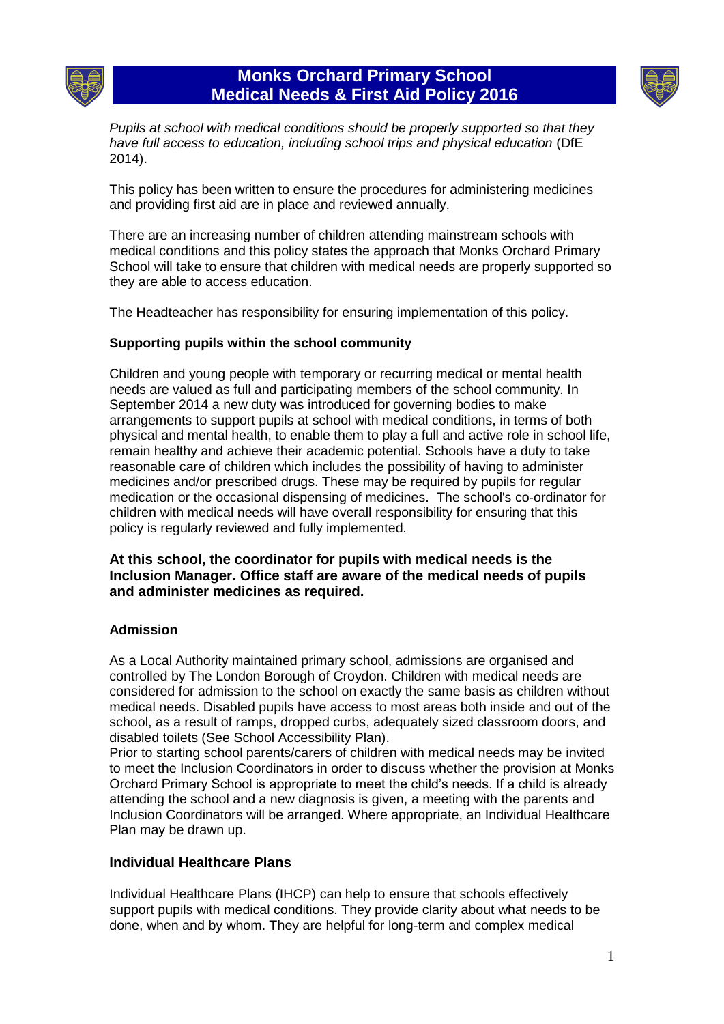

# **Monks Orchard Primary School Medical Needs & First Aid Policy 2016**



*Pupils at school with medical conditions should be properly supported so that they have full access to education, including school trips and physical education* (DfE 2014).

This policy has been written to ensure the procedures for administering medicines and providing first aid are in place and reviewed annually.

There are an increasing number of children attending mainstream schools with medical conditions and this policy states the approach that Monks Orchard Primary School will take to ensure that children with medical needs are properly supported so they are able to access education.

The Headteacher has responsibility for ensuring implementation of this policy.

### **Supporting pupils within the school community**

Children and young people with temporary or recurring medical or mental health needs are valued as full and participating members of the school community. In September 2014 a new duty was introduced for governing bodies to make arrangements to support pupils at school with medical conditions, in terms of both physical and mental health, to enable them to play a full and active role in school life, remain healthy and achieve their academic potential. Schools have a duty to take reasonable care of children which includes the possibility of having to administer medicines and/or prescribed drugs. These may be required by pupils for regular medication or the occasional dispensing of medicines. The school's co-ordinator for children with medical needs will have overall responsibility for ensuring that this policy is regularly reviewed and fully implemented.

### **At this school, the coordinator for pupils with medical needs is the Inclusion Manager. Office staff are aware of the medical needs of pupils and administer medicines as required.**

### **Admission**

As a Local Authority maintained primary school, admissions are organised and controlled by The London Borough of Croydon. Children with medical needs are considered for admission to the school on exactly the same basis as children without medical needs. Disabled pupils have access to most areas both inside and out of the school, as a result of ramps, dropped curbs, adequately sized classroom doors, and disabled toilets (See School Accessibility Plan).

Prior to starting school parents/carers of children with medical needs may be invited to meet the Inclusion Coordinators in order to discuss whether the provision at Monks Orchard Primary School is appropriate to meet the child's needs. If a child is already attending the school and a new diagnosis is given, a meeting with the parents and Inclusion Coordinators will be arranged. Where appropriate, an Individual Healthcare Plan may be drawn up.

### **Individual Healthcare Plans**

Individual Healthcare Plans (IHCP) can help to ensure that schools effectively support pupils with medical conditions. They provide clarity about what needs to be done, when and by whom. They are helpful for long-term and complex medical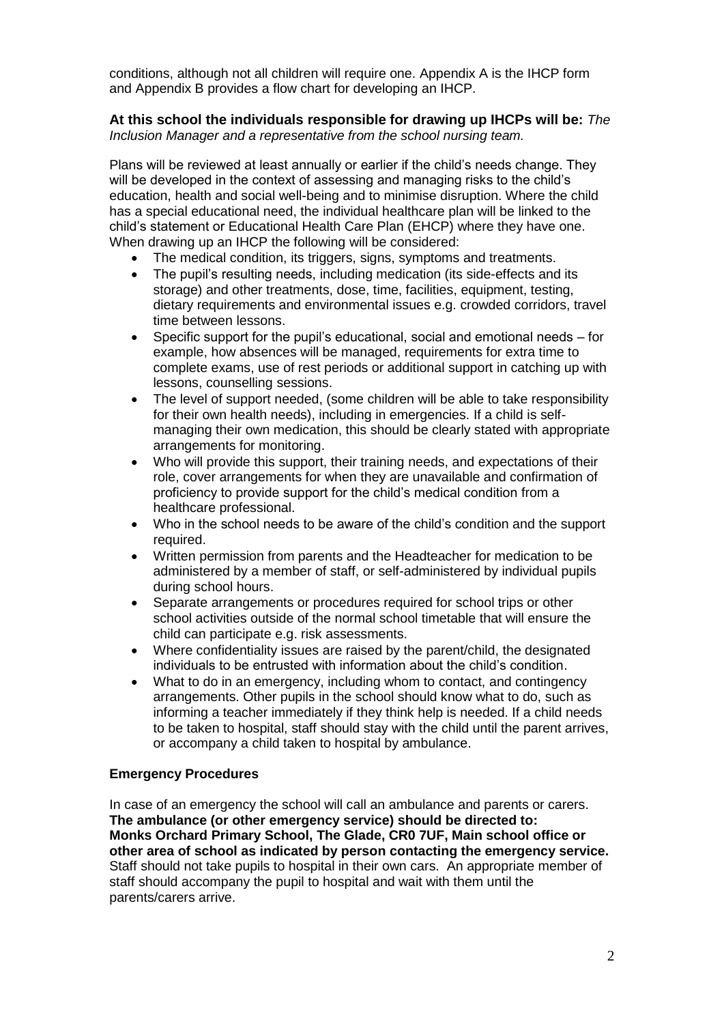conditions, although not all children will require one. Appendix A is the IHCP form and Appendix B provides a flow chart for developing an IHCP.

### **At this school the individuals responsible for drawing up IHCPs will be:** *The Inclusion Manager and a representative from the school nursing team.*

Plans will be reviewed at least annually or earlier if the child's needs change. They will be developed in the context of assessing and managing risks to the child's education, health and social well-being and to minimise disruption. Where the child has a special educational need, the individual healthcare plan will be linked to the child's statement or Educational Health Care Plan (EHCP) where they have one. When drawing up an IHCP the following will be considered:

- The medical condition, its triggers, signs, symptoms and treatments.
- The pupil's resulting needs, including medication (its side-effects and its storage) and other treatments, dose, time, facilities, equipment, testing, dietary requirements and environmental issues e.g. crowded corridors, travel time between lessons.
- Specific support for the pupil's educational, social and emotional needs for example, how absences will be managed, requirements for extra time to complete exams, use of rest periods or additional support in catching up with lessons, counselling sessions.
- The level of support needed, (some children will be able to take responsibility for their own health needs), including in emergencies. If a child is selfmanaging their own medication, this should be clearly stated with appropriate arrangements for monitoring.
- Who will provide this support, their training needs, and expectations of their role, cover arrangements for when they are unavailable and confirmation of proficiency to provide support for the child's medical condition from a healthcare professional.
- Who in the school needs to be aware of the child's condition and the support required.
- Written permission from parents and the Headteacher for medication to be administered by a member of staff, or self-administered by individual pupils during school hours.
- Separate arrangements or procedures required for school trips or other school activities outside of the normal school timetable that will ensure the child can participate e.g. risk assessments.
- Where confidentiality issues are raised by the parent/child, the designated individuals to be entrusted with information about the child's condition.
- What to do in an emergency, including whom to contact, and contingency arrangements. Other pupils in the school should know what to do, such as informing a teacher immediately if they think help is needed. If a child needs to be taken to hospital, staff should stay with the child until the parent arrives, or accompany a child taken to hospital by ambulance.

### **Emergency Procedures**

In case of an emergency the school will call an ambulance and parents or carers. **The ambulance (or other emergency service) should be directed to: Monks Orchard Primary School, The Glade, CR0 7UF, Main school office or other area of school as indicated by person contacting the emergency service.**  Staff should not take pupils to hospital in their own cars. An appropriate member of staff should accompany the pupil to hospital and wait with them until the parents/carers arrive.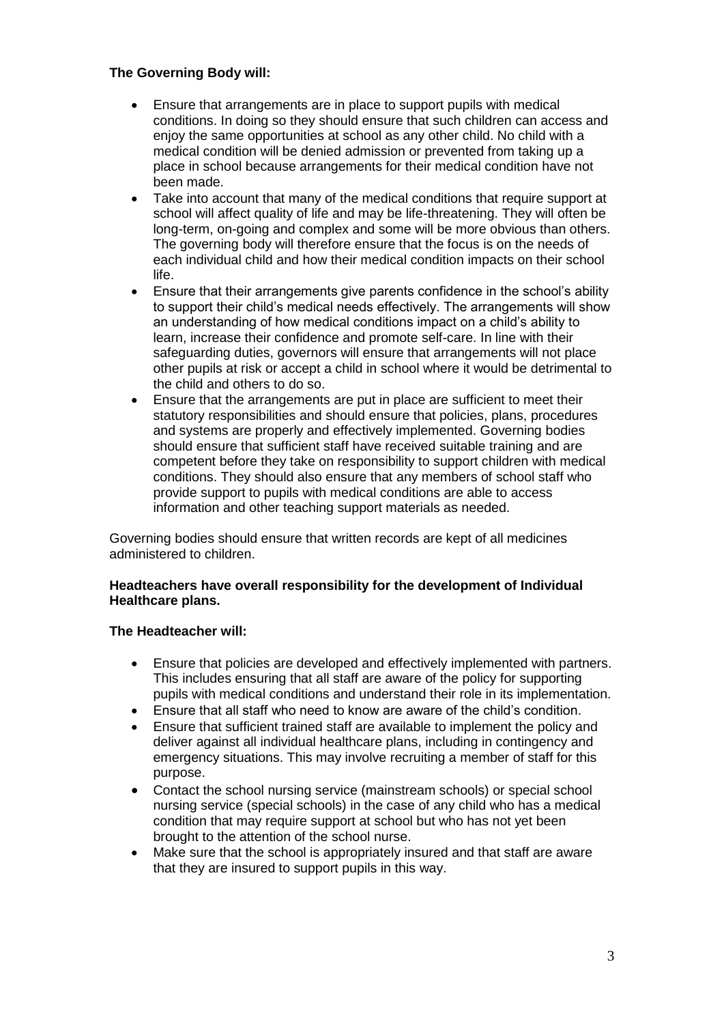### **The Governing Body will:**

- Ensure that arrangements are in place to support pupils with medical conditions. In doing so they should ensure that such children can access and enjoy the same opportunities at school as any other child. No child with a medical condition will be denied admission or prevented from taking up a place in school because arrangements for their medical condition have not been made.
- Take into account that many of the medical conditions that require support at school will affect quality of life and may be life-threatening. They will often be long-term, on-going and complex and some will be more obvious than others. The governing body will therefore ensure that the focus is on the needs of each individual child and how their medical condition impacts on their school life.
- Ensure that their arrangements give parents confidence in the school's ability to support their child's medical needs effectively. The arrangements will show an understanding of how medical conditions impact on a child's ability to learn, increase their confidence and promote self-care. In line with their safeguarding duties, governors will ensure that arrangements will not place other pupils at risk or accept a child in school where it would be detrimental to the child and others to do so.
- Ensure that the arrangements are put in place are sufficient to meet their statutory responsibilities and should ensure that policies, plans, procedures and systems are properly and effectively implemented. Governing bodies should ensure that sufficient staff have received suitable training and are competent before they take on responsibility to support children with medical conditions. They should also ensure that any members of school staff who provide support to pupils with medical conditions are able to access information and other teaching support materials as needed.

Governing bodies should ensure that written records are kept of all medicines administered to children.

### **Headteachers have overall responsibility for the development of Individual Healthcare plans.**

### **The Headteacher will:**

- Ensure that policies are developed and effectively implemented with partners. This includes ensuring that all staff are aware of the policy for supporting pupils with medical conditions and understand their role in its implementation.
- Ensure that all staff who need to know are aware of the child's condition.
- Ensure that sufficient trained staff are available to implement the policy and deliver against all individual healthcare plans, including in contingency and emergency situations. This may involve recruiting a member of staff for this purpose.
- Contact the school nursing service (mainstream schools) or special school nursing service (special schools) in the case of any child who has a medical condition that may require support at school but who has not yet been brought to the attention of the school nurse.
- Make sure that the school is appropriately insured and that staff are aware that they are insured to support pupils in this way.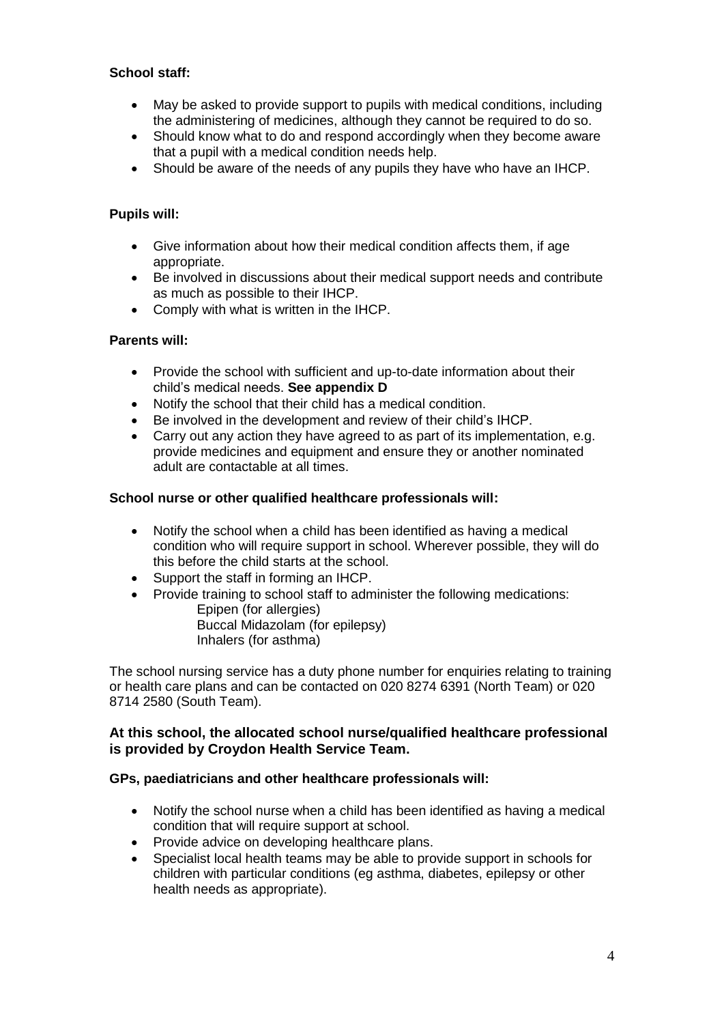### **School staff:**

- May be asked to provide support to pupils with medical conditions, including the administering of medicines, although they cannot be required to do so.
- Should know what to do and respond accordingly when they become aware that a pupil with a medical condition needs help.
- Should be aware of the needs of any pupils they have who have an IHCP.

### **Pupils will:**

- Give information about how their medical condition affects them, if age appropriate.
- Be involved in discussions about their medical support needs and contribute as much as possible to their IHCP.
- Comply with what is written in the IHCP.

### **Parents will:**

- Provide the school with sufficient and up-to-date information about their child's medical needs. **See appendix D**
- Notify the school that their child has a medical condition.
- Be involved in the development and review of their child's IHCP.
- Carry out any action they have agreed to as part of its implementation, e.g. provide medicines and equipment and ensure they or another nominated adult are contactable at all times.

### **School nurse or other qualified healthcare professionals will:**

- Notify the school when a child has been identified as having a medical condition who will require support in school. Wherever possible, they will do this before the child starts at the school.
- Support the staff in forming an IHCP.
- Provide training to school staff to administer the following medications: Epipen (for allergies) Buccal Midazolam (for epilepsy) Inhalers (for asthma)

The school nursing service has a duty phone number for enquiries relating to training or health care plans and can be contacted on 020 8274 6391 (North Team) or 020 8714 2580 (South Team).

### **At this school, the allocated school nurse/qualified healthcare professional is provided by Croydon Health Service Team.**

### **GPs, paediatricians and other healthcare professionals will:**

- Notify the school nurse when a child has been identified as having a medical condition that will require support at school.
- Provide advice on developing healthcare plans.
- Specialist local health teams may be able to provide support in schools for children with particular conditions (eg asthma, diabetes, epilepsy or other health needs as appropriate).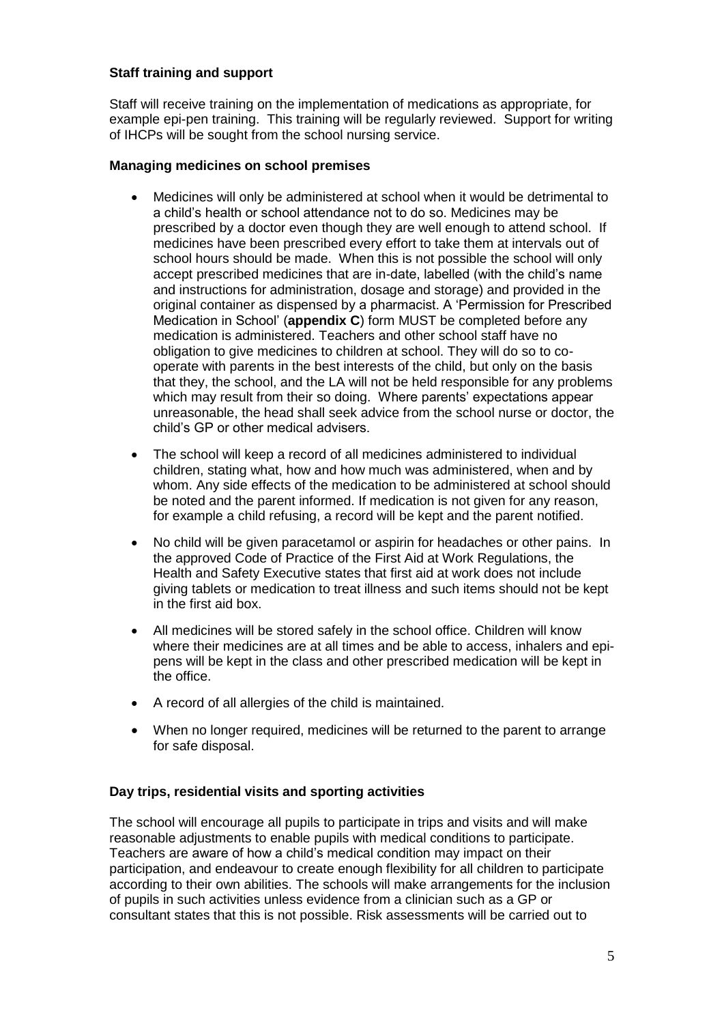### **Staff training and support**

Staff will receive training on the implementation of medications as appropriate, for example epi-pen training. This training will be regularly reviewed. Support for writing of IHCPs will be sought from the school nursing service.

#### **Managing medicines on school premises**

- Medicines will only be administered at school when it would be detrimental to a child's health or school attendance not to do so. Medicines may be prescribed by a doctor even though they are well enough to attend school. If medicines have been prescribed every effort to take them at intervals out of school hours should be made. When this is not possible the school will only accept prescribed medicines that are in-date, labelled (with the child's name and instructions for administration, dosage and storage) and provided in the original container as dispensed by a pharmacist. A 'Permission for Prescribed Medication in School' (**appendix C**) form MUST be completed before any medication is administered. Teachers and other school staff have no obligation to give medicines to children at school. They will do so to cooperate with parents in the best interests of the child, but only on the basis that they, the school, and the LA will not be held responsible for any problems which may result from their so doing. Where parents' expectations appear unreasonable, the head shall seek advice from the school nurse or doctor, the child's GP or other medical advisers.
- The school will keep a record of all medicines administered to individual children, stating what, how and how much was administered, when and by whom. Any side effects of the medication to be administered at school should be noted and the parent informed. If medication is not given for any reason, for example a child refusing, a record will be kept and the parent notified.
- No child will be given paracetamol or aspirin for headaches or other pains. In the approved Code of Practice of the First Aid at Work Regulations, the Health and Safety Executive states that first aid at work does not include giving tablets or medication to treat illness and such items should not be kept in the first aid box.
- All medicines will be stored safely in the school office. Children will know where their medicines are at all times and be able to access, inhalers and epipens will be kept in the class and other prescribed medication will be kept in the office.
- A record of all allergies of the child is maintained.
- When no longer required, medicines will be returned to the parent to arrange for safe disposal.

### **Day trips, residential visits and sporting activities**

The school will encourage all pupils to participate in trips and visits and will make reasonable adjustments to enable pupils with medical conditions to participate. Teachers are aware of how a child's medical condition may impact on their participation, and endeavour to create enough flexibility for all children to participate according to their own abilities. The schools will make arrangements for the inclusion of pupils in such activities unless evidence from a clinician such as a GP or consultant states that this is not possible. Risk assessments will be carried out to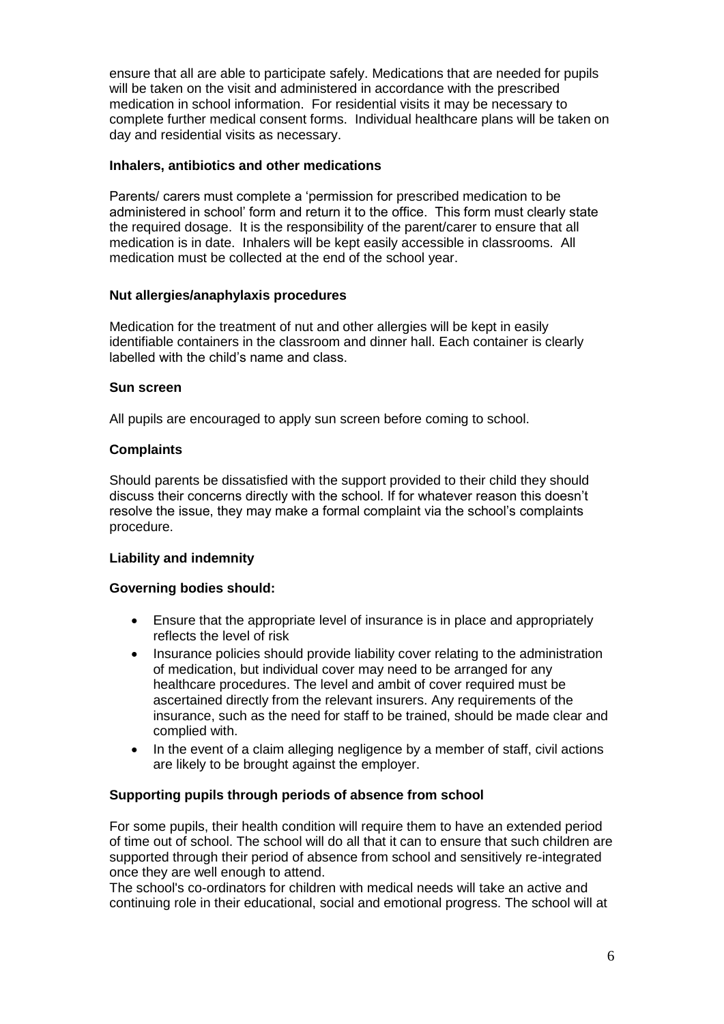ensure that all are able to participate safely. Medications that are needed for pupils will be taken on the visit and administered in accordance with the prescribed medication in school information. For residential visits it may be necessary to complete further medical consent forms. Individual healthcare plans will be taken on day and residential visits as necessary.

### **Inhalers, antibiotics and other medications**

Parents/ carers must complete a 'permission for prescribed medication to be administered in school' form and return it to the office. This form must clearly state the required dosage. It is the responsibility of the parent/carer to ensure that all medication is in date. Inhalers will be kept easily accessible in classrooms. All medication must be collected at the end of the school year.

### **Nut allergies/anaphylaxis procedures**

Medication for the treatment of nut and other allergies will be kept in easily identifiable containers in the classroom and dinner hall. Each container is clearly labelled with the child's name and class.

### **Sun screen**

All pupils are encouraged to apply sun screen before coming to school.

### **Complaints**

Should parents be dissatisfied with the support provided to their child they should discuss their concerns directly with the school. If for whatever reason this doesn't resolve the issue, they may make a formal complaint via the school's complaints procedure.

### **Liability and indemnity**

### **Governing bodies should:**

- Ensure that the appropriate level of insurance is in place and appropriately reflects the level of risk
- Insurance policies should provide liability cover relating to the administration of medication, but individual cover may need to be arranged for any healthcare procedures. The level and ambit of cover required must be ascertained directly from the relevant insurers. Any requirements of the insurance, such as the need for staff to be trained, should be made clear and complied with.
- In the event of a claim alleging negligence by a member of staff, civil actions are likely to be brought against the employer.

### **Supporting pupils through periods of absence from school**

For some pupils, their health condition will require them to have an extended period of time out of school. The school will do all that it can to ensure that such children are supported through their period of absence from school and sensitively re-integrated once they are well enough to attend.

The school's co-ordinators for children with medical needs will take an active and continuing role in their educational, social and emotional progress. The school will at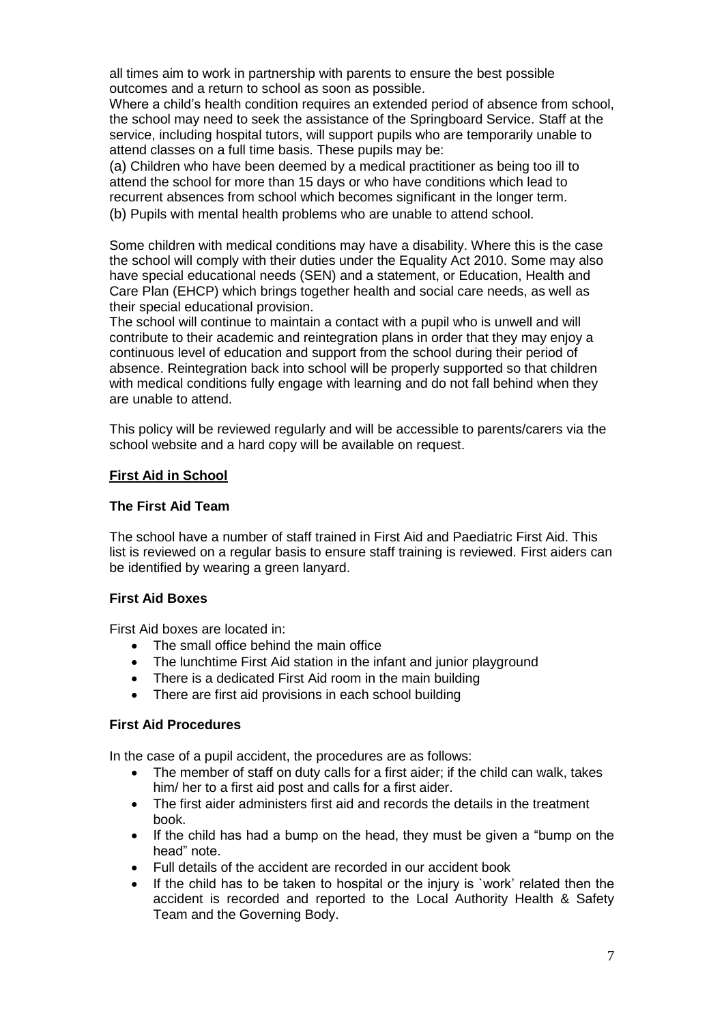all times aim to work in partnership with parents to ensure the best possible outcomes and a return to school as soon as possible.

Where a child's health condition requires an extended period of absence from school. the school may need to seek the assistance of the Springboard Service. Staff at the service, including hospital tutors, will support pupils who are temporarily unable to attend classes on a full time basis. These pupils may be:

(a) Children who have been deemed by a medical practitioner as being too ill to attend the school for more than 15 days or who have conditions which lead to recurrent absences from school which becomes significant in the longer term. (b) Pupils with mental health problems who are unable to attend school.

Some children with medical conditions may have a disability. Where this is the case the school will comply with their duties under the Equality Act 2010. Some may also have special educational needs (SEN) and a statement, or Education, Health and Care Plan (EHCP) which brings together health and social care needs, as well as their special educational provision.

The school will continue to maintain a contact with a pupil who is unwell and will contribute to their academic and reintegration plans in order that they may enjoy a continuous level of education and support from the school during their period of absence. Reintegration back into school will be properly supported so that children with medical conditions fully engage with learning and do not fall behind when they are unable to attend.

This policy will be reviewed regularly and will be accessible to parents/carers via the school website and a hard copy will be available on request.

### **First Aid in School**

### **The First Aid Team**

The school have a number of staff trained in First Aid and Paediatric First Aid. This list is reviewed on a regular basis to ensure staff training is reviewed. First aiders can be identified by wearing a green lanyard.

### **First Aid Boxes**

First Aid boxes are located in:

- The small office behind the main office
- The lunchtime First Aid station in the infant and junior playground
- There is a dedicated First Aid room in the main building
- There are first aid provisions in each school building

### **First Aid Procedures**

In the case of a pupil accident, the procedures are as follows:

- The member of staff on duty calls for a first aider; if the child can walk, takes him/ her to a first aid post and calls for a first aider.
- The first aider administers first aid and records the details in the treatment book.
- If the child has had a bump on the head, they must be given a "bump on the head" note.
- Full details of the accident are recorded in our accident book
- If the child has to be taken to hospital or the injury is `work' related then the accident is recorded and reported to the Local Authority Health & Safety Team and the Governing Body.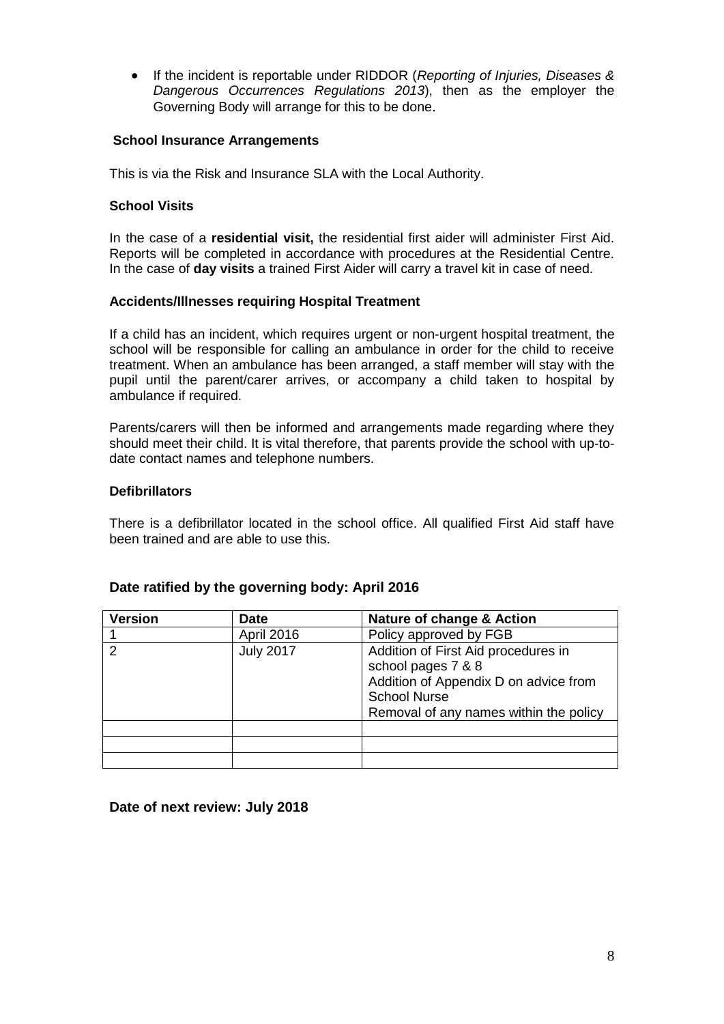If the incident is reportable under RIDDOR (*Reporting of Injuries, Diseases & Dangerous Occurrences Regulations 2013*), then as the employer the Governing Body will arrange for this to be done.

### **School Insurance Arrangements**

This is via the Risk and Insurance SLA with the Local Authority.

#### **School Visits**

In the case of a **residential visit,** the residential first aider will administer First Aid. Reports will be completed in accordance with procedures at the Residential Centre. In the case of **day visits** a trained First Aider will carry a travel kit in case of need.

#### **Accidents/Illnesses requiring Hospital Treatment**

If a child has an incident, which requires urgent or non-urgent hospital treatment, the school will be responsible for calling an ambulance in order for the child to receive treatment. When an ambulance has been arranged, a staff member will stay with the pupil until the parent/carer arrives, or accompany a child taken to hospital by ambulance if required.

Parents/carers will then be informed and arrangements made regarding where they should meet their child. It is vital therefore, that parents provide the school with up-todate contact names and telephone numbers.

#### **Defibrillators**

There is a defibrillator located in the school office. All qualified First Aid staff have been trained and are able to use this.

| <b>Version</b> | <b>Date</b>       | Nature of change & Action                                                                                                                                           |
|----------------|-------------------|---------------------------------------------------------------------------------------------------------------------------------------------------------------------|
|                | <b>April 2016</b> | Policy approved by FGB                                                                                                                                              |
| っ              | <b>July 2017</b>  | Addition of First Aid procedures in<br>school pages 7 & 8<br>Addition of Appendix D on advice from<br><b>School Nurse</b><br>Removal of any names within the policy |
|                |                   |                                                                                                                                                                     |
|                |                   |                                                                                                                                                                     |
|                |                   |                                                                                                                                                                     |

### **Date ratified by the governing body: April 2016**

**Date of next review: July 2018**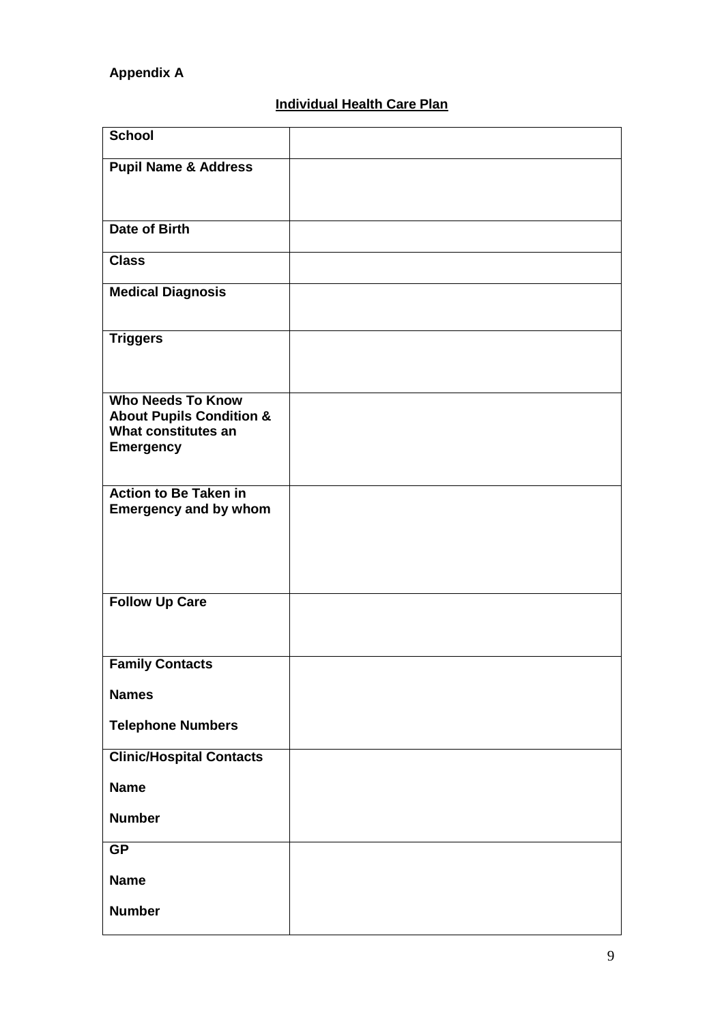## **Appendix A**

# **Individual Health Care Plan**

| <b>School</b>                                                                                              |  |
|------------------------------------------------------------------------------------------------------------|--|
| <b>Pupil Name &amp; Address</b>                                                                            |  |
|                                                                                                            |  |
| <b>Date of Birth</b>                                                                                       |  |
| <b>Class</b>                                                                                               |  |
| <b>Medical Diagnosis</b>                                                                                   |  |
| <b>Triggers</b>                                                                                            |  |
| <b>Who Needs To Know</b><br><b>About Pupils Condition &amp;</b><br>What constitutes an<br><b>Emergency</b> |  |
| <b>Action to Be Taken in</b><br><b>Emergency and by whom</b>                                               |  |
| <b>Follow Up Care</b>                                                                                      |  |
| <b>Family Contacts</b>                                                                                     |  |
| <b>Names</b>                                                                                               |  |
| <b>Telephone Numbers</b>                                                                                   |  |
| <b>Clinic/Hospital Contacts</b>                                                                            |  |
| <b>Name</b>                                                                                                |  |
| <b>Number</b>                                                                                              |  |
| <b>GP</b>                                                                                                  |  |
| <b>Name</b>                                                                                                |  |
| <b>Number</b>                                                                                              |  |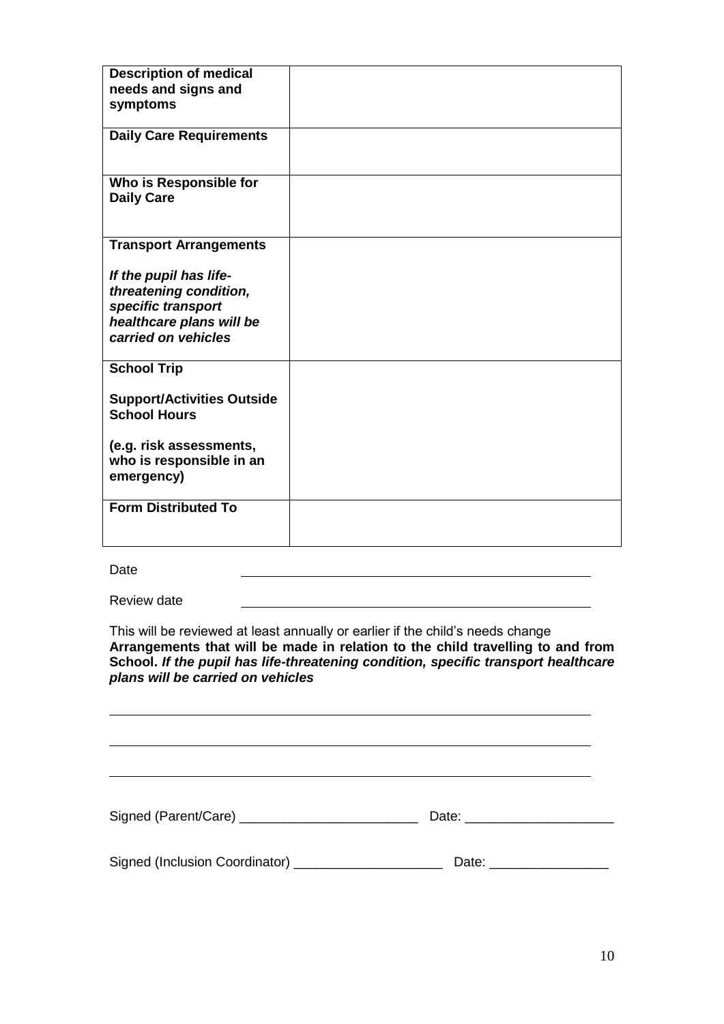| <b>Description of medical</b><br>needs and signs and<br>symptoms                                                          |  |
|---------------------------------------------------------------------------------------------------------------------------|--|
| <b>Daily Care Requirements</b>                                                                                            |  |
| Who is Responsible for<br><b>Daily Care</b>                                                                               |  |
| <b>Transport Arrangements</b>                                                                                             |  |
| If the pupil has life-<br>threatening condition,<br>specific transport<br>healthcare plans will be<br>carried on vehicles |  |
| <b>School Trip</b>                                                                                                        |  |
| <b>Support/Activities Outside</b><br><b>School Hours</b>                                                                  |  |
| (e.g. risk assessments,<br>who is responsible in an<br>emergency)                                                         |  |
| <b>Form Distributed To</b>                                                                                                |  |

Date

Review date

This will be reviewed at least annually or earlier if the child's needs change **Arrangements that will be made in relation to the child travelling to and from School.** *If the pupil has life-threatening condition, specific transport healthcare plans will be carried on vehicles*

Signed (Parent/Care) \_\_\_\_\_\_\_\_\_\_\_\_\_\_\_\_\_\_\_\_\_\_\_\_ Date: \_\_\_\_\_\_\_\_\_\_\_\_\_\_\_\_\_\_\_\_

| × |  |
|---|--|
|   |  |

Signed (Inclusion Coordinator) \_\_\_\_\_\_\_\_\_\_\_\_\_\_\_\_\_\_\_\_ Date: \_\_\_\_\_\_\_\_\_\_\_\_\_\_\_\_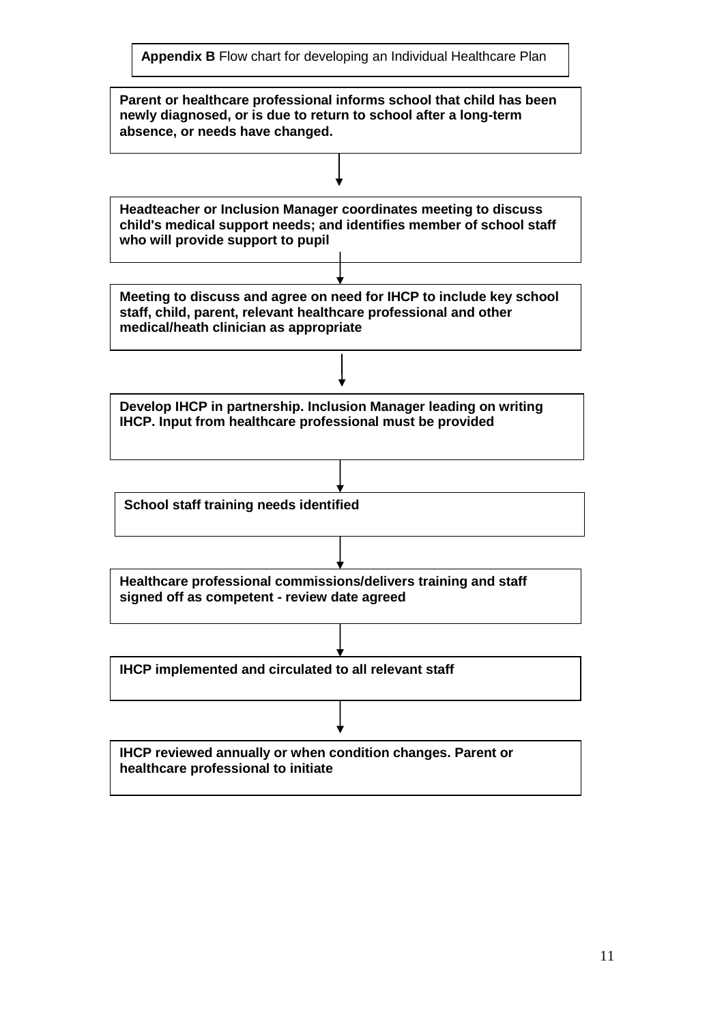**Appendix B** Flow chart for developing an Individual Healthcare Plan

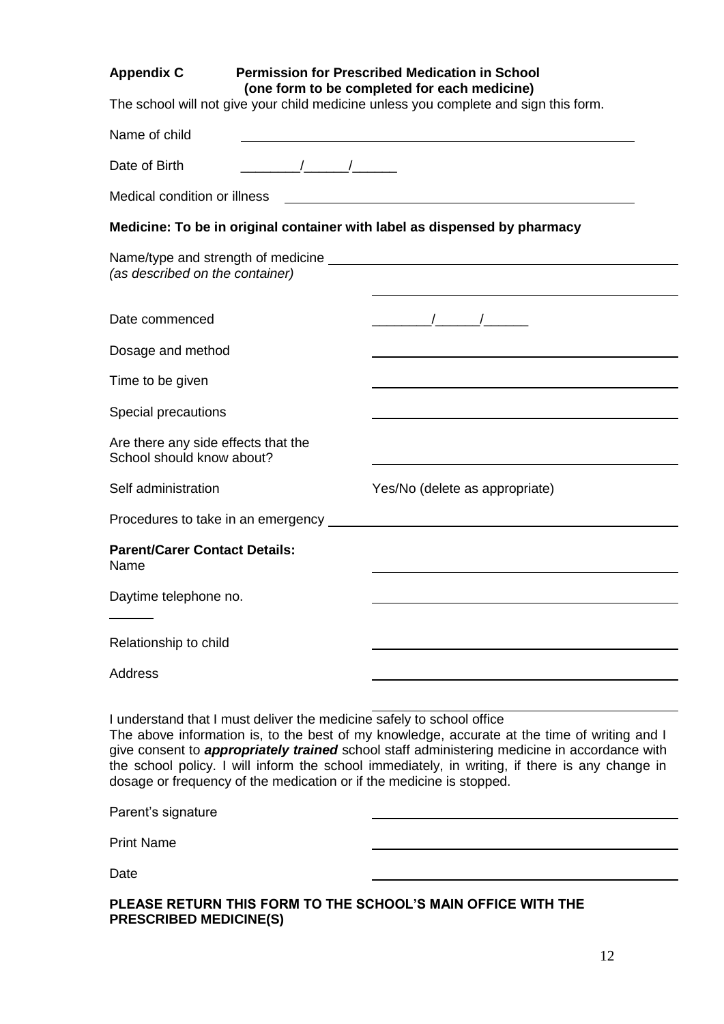### **Appendix C Permission for Prescribed Medication in School (one form to be completed for each medicine)**

The school will not give your child medicine unless you complete and sign this form.

| Name of child                                                                                                                                                                                                                                                                                                                                                                                                                                          | <u> 1989 - Johann Harry Barn, mars an t-Amerikaansk kommunister (</u>                                                                                                                                                                                                                                               |
|--------------------------------------------------------------------------------------------------------------------------------------------------------------------------------------------------------------------------------------------------------------------------------------------------------------------------------------------------------------------------------------------------------------------------------------------------------|---------------------------------------------------------------------------------------------------------------------------------------------------------------------------------------------------------------------------------------------------------------------------------------------------------------------|
| $\frac{1}{2}$ $\frac{1}{2}$ $\frac{1}{2}$ $\frac{1}{2}$ $\frac{1}{2}$ $\frac{1}{2}$ $\frac{1}{2}$ $\frac{1}{2}$ $\frac{1}{2}$ $\frac{1}{2}$ $\frac{1}{2}$ $\frac{1}{2}$ $\frac{1}{2}$ $\frac{1}{2}$ $\frac{1}{2}$ $\frac{1}{2}$ $\frac{1}{2}$ $\frac{1}{2}$ $\frac{1}{2}$ $\frac{1}{2}$ $\frac{1}{2}$ $\frac{1}{2}$<br>Date of Birth                                                                                                                   |                                                                                                                                                                                                                                                                                                                     |
| Medical condition or illness                                                                                                                                                                                                                                                                                                                                                                                                                           |                                                                                                                                                                                                                                                                                                                     |
| Medicine: To be in original container with label as dispensed by pharmacy                                                                                                                                                                                                                                                                                                                                                                              |                                                                                                                                                                                                                                                                                                                     |
| (as described on the container)                                                                                                                                                                                                                                                                                                                                                                                                                        |                                                                                                                                                                                                                                                                                                                     |
| Date commenced                                                                                                                                                                                                                                                                                                                                                                                                                                         | $\frac{1}{2}$ $\frac{1}{2}$ $\frac{1}{2}$ $\frac{1}{2}$ $\frac{1}{2}$ $\frac{1}{2}$ $\frac{1}{2}$ $\frac{1}{2}$ $\frac{1}{2}$ $\frac{1}{2}$ $\frac{1}{2}$ $\frac{1}{2}$ $\frac{1}{2}$ $\frac{1}{2}$ $\frac{1}{2}$ $\frac{1}{2}$ $\frac{1}{2}$ $\frac{1}{2}$ $\frac{1}{2}$ $\frac{1}{2}$ $\frac{1}{2}$ $\frac{1}{2}$ |
| Dosage and method                                                                                                                                                                                                                                                                                                                                                                                                                                      |                                                                                                                                                                                                                                                                                                                     |
| Time to be given                                                                                                                                                                                                                                                                                                                                                                                                                                       |                                                                                                                                                                                                                                                                                                                     |
| Special precautions                                                                                                                                                                                                                                                                                                                                                                                                                                    |                                                                                                                                                                                                                                                                                                                     |
| Are there any side effects that the<br>School should know about?                                                                                                                                                                                                                                                                                                                                                                                       |                                                                                                                                                                                                                                                                                                                     |
| Self administration                                                                                                                                                                                                                                                                                                                                                                                                                                    | Yes/No (delete as appropriate)                                                                                                                                                                                                                                                                                      |
|                                                                                                                                                                                                                                                                                                                                                                                                                                                        |                                                                                                                                                                                                                                                                                                                     |
| <b>Parent/Carer Contact Details:</b><br>Name                                                                                                                                                                                                                                                                                                                                                                                                           |                                                                                                                                                                                                                                                                                                                     |
| Daytime telephone no.                                                                                                                                                                                                                                                                                                                                                                                                                                  |                                                                                                                                                                                                                                                                                                                     |
| Relationship to child                                                                                                                                                                                                                                                                                                                                                                                                                                  |                                                                                                                                                                                                                                                                                                                     |
| Address                                                                                                                                                                                                                                                                                                                                                                                                                                                |                                                                                                                                                                                                                                                                                                                     |
| I understand that I must deliver the medicine safely to school office<br>The above information is, to the best of my knowledge, accurate at the time of writing and I<br>give consent to <i>appropriately trained</i> school staff administering medicine in accordance with<br>the school policy. I will inform the school immediately, in writing, if there is any change in<br>dosage or frequency of the medication or if the medicine is stopped. |                                                                                                                                                                                                                                                                                                                     |

Print Name

Parent's signature

Date

**PLEASE RETURN THIS FORM TO THE SCHOOL'S MAIN OFFICE WITH THE PRESCRIBED MEDICINE(S)**